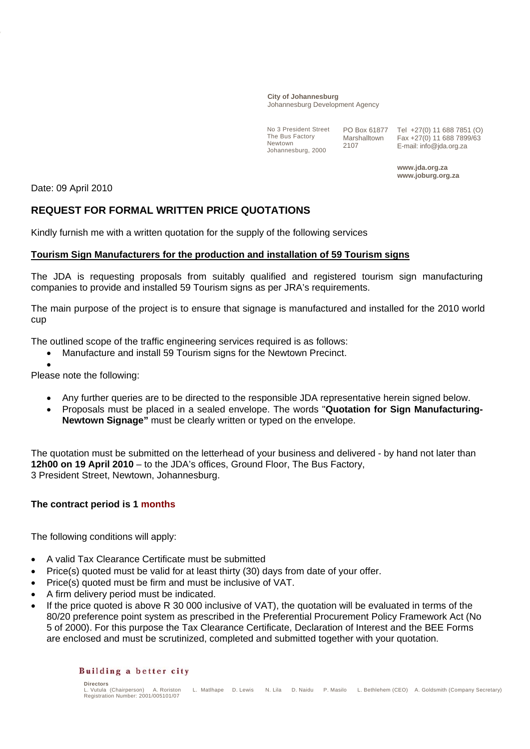#### **City of Johannesburg** Johannesburg Development Agency

No 3 President Street The Bus Factory Newtown Johannesburg, 2000

PO Box 61877 Marshalltown 2107

Tel +27(0) 11 688 7851 (O) Fax +27(0) 11 688 7899/63 E-mail: info@jda.org.za

**www.jda.org.za www.joburg.org.za** 

Date: 09 April 2010

# **REQUEST FOR FORMAL WRITTEN PRICE QUOTATIONS**

Kindly furnish me with a written quotation for the supply of the following services

## **Tourism Sign Manufacturers for the production and installation of 59 Tourism signs**

The JDA is requesting proposals from suitably qualified and registered tourism sign manufacturing companies to provide and installed 59 Tourism signs as per JRA's requirements.

The main purpose of the project is to ensure that signage is manufactured and installed for the 2010 world cup

The outlined scope of the traffic engineering services required is as follows:

- Manufacture and install 59 Tourism signs for the Newtown Precinct.
	- •

Please note the following:

- Any further queries are to be directed to the responsible JDA representative herein signed below.
- Proposals must be placed in a sealed envelope. The words "**Quotation for Sign Manufacturing-Newtown Signage"** must be clearly written or typed on the envelope.

The quotation must be submitted on the letterhead of your business and delivered - by hand not later than **12h00 on 19 April 2010** – to the JDA's offices, Ground Floor, The Bus Factory, 3 President Street, Newtown, Johannesburg.

## **The contract period is 1 months**

The following conditions will apply:

- A valid Tax Clearance Certificate must be submitted
- Price(s) quoted must be valid for at least thirty (30) days from date of your offer.
- Price(s) quoted must be firm and must be inclusive of VAT.
- A firm delivery period must be indicated.
- If the price quoted is above R 30 000 inclusive of VAT), the quotation will be evaluated in terms of the 80/20 preference point system as prescribed in the Preferential Procurement Policy Framework Act (No 5 of 2000). For this purpose the Tax Clearance Certificate, Declaration of Interest and the BEE Forms are enclosed and must be scrutinized, completed and submitted together with your quotation.

### Building a better city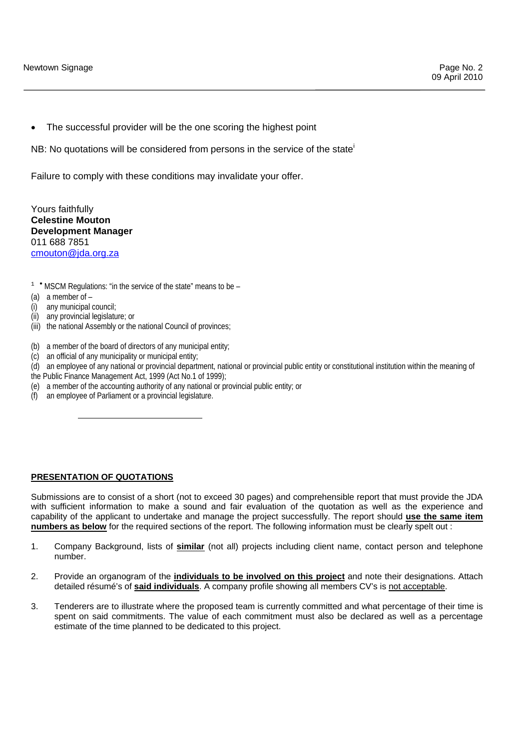The successful provider will be the one scoring the highest point

NB: No quotations will be considered from persons in the service of the state<sup>1</sup>

Failure to comply with these conditions may invalidate your offer.

Yours faithfully **Celestine Mouton Development Manager**  011 688 7851 cmouton@jda.org.za

- <sup>1</sup> <sup>★</sup> MSCM Regulations: "in the service of the state" means to be -
- (a) a member of –
- (i) any municipal council;
- (ii) any provincial legislature; or

1

- (iii) the national Assembly or the national Council of provinces;
- (b) a member of the board of directors of any municipal entity;
- (c) an official of any municipality or municipal entity;
- (d) an employee of any national or provincial department, national or provincial public entity or constitutional institution within the meaning of
- the Public Finance Management Act, 1999 (Act No.1 of 1999);
- (e) a member of the accounting authority of any national or provincial public entity; or
- (f) an employee of Parliament or a provincial legislature.

### **PRESENTATION OF QUOTATIONS**

Submissions are to consist of a short (not to exceed 30 pages) and comprehensible report that must provide the JDA with sufficient information to make a sound and fair evaluation of the quotation as well as the experience and capability of the applicant to undertake and manage the project successfully. The report should **use the same item numbers as below** for the required sections of the report. The following information must be clearly spelt out :

- 1. Company Background, lists of **similar** (not all) projects including client name, contact person and telephone number.
- 2. Provide an organogram of the **individuals to be involved on this project** and note their designations. Attach detailed résumé's of **said individuals**. A company profile showing all members CV's is not acceptable.
- 3. Tenderers are to illustrate where the proposed team is currently committed and what percentage of their time is spent on said commitments. The value of each commitment must also be declared as well as a percentage estimate of the time planned to be dedicated to this project.